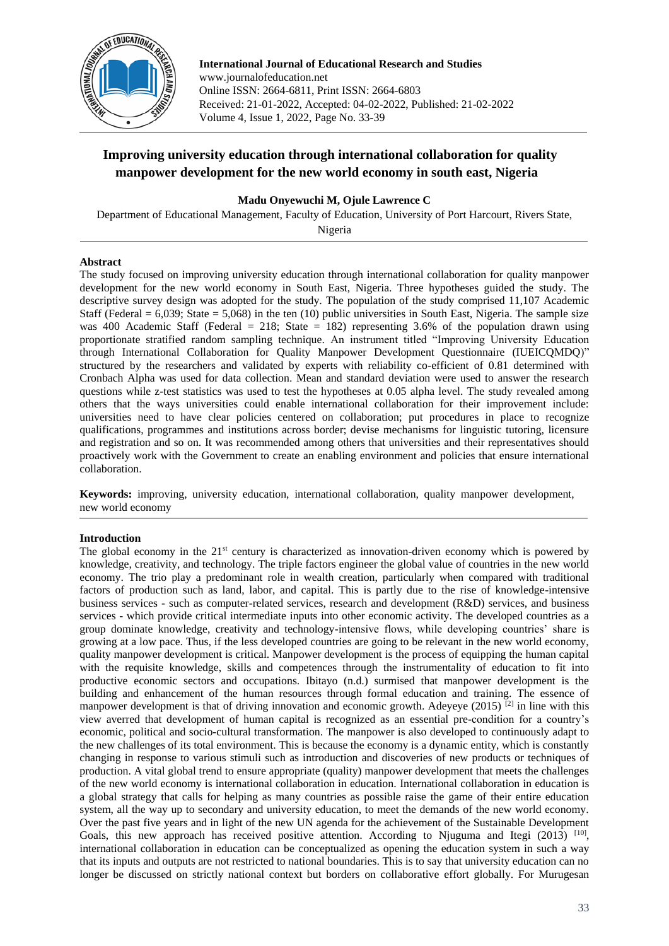

**International Journal of Educational Research and Studies** www.journalofeducation.net Online ISSN: 2664-6811, Print ISSN: 2664-6803 Received: 21-01-2022, Accepted: 04-02-2022, Published: 21-02-2022 Volume 4, Issue 1, 2022, Page No. 33-39

# **Improving university education through international collaboration for quality manpower development for the new world economy in south east, Nigeria**

# **Madu Onyewuchi M, Ojule Lawrence C**

Department of Educational Management, Faculty of Education, University of Port Harcourt, Rivers State, Nigeria

## **Abstract**

The study focused on improving university education through international collaboration for quality manpower development for the new world economy in South East, Nigeria. Three hypotheses guided the study. The descriptive survey design was adopted for the study. The population of the study comprised 11,107 Academic Staff (Federal =  $6,039$ ; State =  $5,068$ ) in the ten (10) public universities in South East, Nigeria. The sample size was 400 Academic Staff (Federal = 218; State = 182) representing 3.6% of the population drawn using proportionate stratified random sampling technique. An instrument titled "Improving University Education through International Collaboration for Quality Manpower Development Questionnaire (IUEICQMDQ)" structured by the researchers and validated by experts with reliability co-efficient of 0.81 determined with Cronbach Alpha was used for data collection. Mean and standard deviation were used to answer the research questions while z-test statistics was used to test the hypotheses at 0.05 alpha level. The study revealed among others that the ways universities could enable international collaboration for their improvement include: universities need to have clear policies centered on collaboration; put procedures in place to recognize qualifications, programmes and institutions across border; devise mechanisms for linguistic tutoring, licensure and registration and so on. It was recommended among others that universities and their representatives should proactively work with the Government to create an enabling environment and policies that ensure international collaboration.

**Keywords:** improving, university education, international collaboration, quality manpower development, new world economy

# **Introduction**

The global economy in the  $21<sup>st</sup>$  century is characterized as innovation-driven economy which is powered by knowledge, creativity, and technology. The triple factors engineer the global value of countries in the new world economy. The trio play a predominant role in wealth creation, particularly when compared with traditional factors of production such as land, labor, and capital. This is partly due to the rise of knowledge-intensive business services - such as computer-related services, research and development (R&D) services, and business services - which provide critical intermediate inputs into other economic activity. The developed countries as a group dominate knowledge, creativity and technology-intensive flows, while developing countries' share is growing at a low pace. Thus, if the less developed countries are going to be relevant in the new world economy, quality manpower development is critical. Manpower development is the process of equipping the human capital with the requisite knowledge, skills and competences through the instrumentality of education to fit into productive economic sectors and occupations. Ibitayo (n.d.) surmised that manpower development is the building and enhancement of the human resources through formal education and training. The essence of manpower development is that of driving innovation and economic growth. Adeyeye (2015) [2] in line with this view averred that development of human capital is recognized as an essential pre-condition for a country's economic, political and socio-cultural transformation. The manpower is also developed to continuously adapt to the new challenges of its total environment. This is because the economy is a dynamic entity, which is constantly changing in response to various stimuli such as introduction and discoveries of new products or techniques of production. A vital global trend to ensure appropriate (quality) manpower development that meets the challenges of the new world economy is international collaboration in education. International collaboration in education is a global strategy that calls for helping as many countries as possible raise the game of their entire education system, all the way up to secondary and university education, to meet the demands of the new world economy. Over the past five years and in light of the new UN agenda for the achievement of the Sustainable Development Goals, this new approach has received positive attention. According to Njuguma and Itegi  $(2013)$  [10], international collaboration in education can be conceptualized as opening the education system in such a way that its inputs and outputs are not restricted to national boundaries. This is to say that university education can no longer be discussed on strictly national context but borders on collaborative effort globally. For Murugesan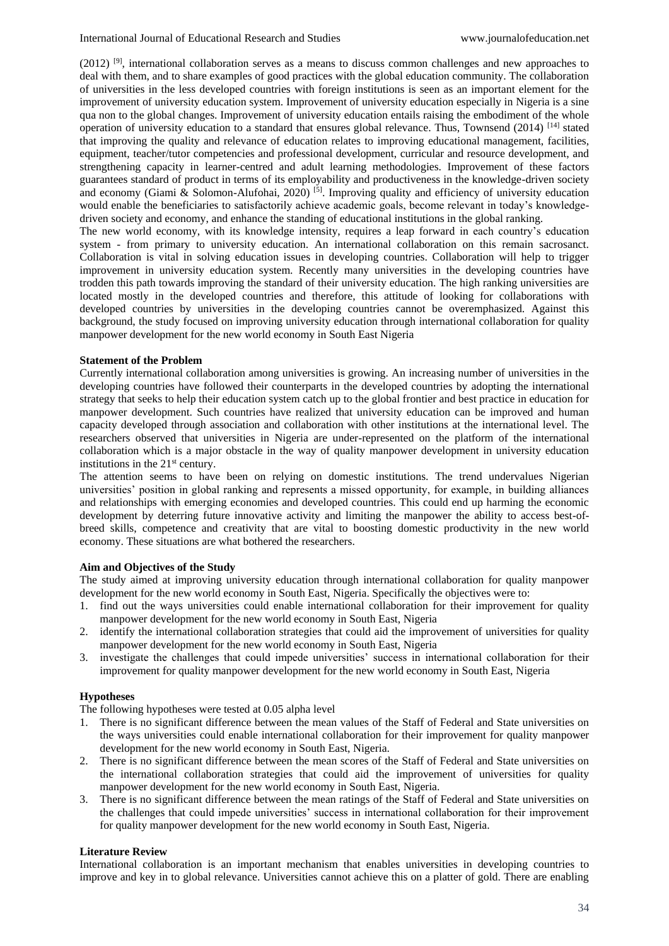$(2012)$  [9], international collaboration serves as a means to discuss common challenges and new approaches to deal with them, and to share examples of good practices with the global education community. The collaboration of universities in the less developed countries with foreign institutions is seen as an important element for the improvement of university education system. Improvement of university education especially in Nigeria is a sine qua non to the global changes. Improvement of university education entails raising the embodiment of the whole operation of university education to a standard that ensures global relevance. Thus, Townsend (2014) [14] stated that improving the quality and relevance of education relates to improving educational management, facilities, equipment, teacher/tutor competencies and professional development, curricular and resource development, and strengthening capacity in learner-centred and adult learning methodologies. Improvement of these factors guarantees standard of product in terms of its employability and productiveness in the knowledge-driven society and economy (Giami & Solomon-Alufohai, 2020) <sup>[5]</sup>. Improving quality and efficiency of university education would enable the beneficiaries to satisfactorily achieve academic goals, become relevant in today's knowledgedriven society and economy, and enhance the standing of educational institutions in the global ranking.

The new world economy, with its knowledge intensity, requires a leap forward in each country's education system - from primary to university education. An international collaboration on this remain sacrosanct. Collaboration is vital in solving education issues in developing countries. Collaboration will help to trigger improvement in university education system. Recently many universities in the developing countries have trodden this path towards improving the standard of their university education. The high ranking universities are located mostly in the developed countries and therefore, this attitude of looking for collaborations with developed countries by universities in the developing countries cannot be overemphasized. Against this background, the study focused on improving university education through international collaboration for quality manpower development for the new world economy in South East Nigeria

#### **Statement of the Problem**

Currently international collaboration among universities is growing. An increasing number of universities in the developing countries have followed their counterparts in the developed countries by adopting the international strategy that seeks to help their education system catch up to the global frontier and best practice in education for manpower development. Such countries have realized that university education can be improved and human capacity developed through association and collaboration with other institutions at the international level. The researchers observed that universities in Nigeria are under-represented on the platform of the international collaboration which is a major obstacle in the way of quality manpower development in university education institutions in the 21<sup>st</sup> century.

The attention seems to have been on relying on domestic institutions. The trend undervalues Nigerian universities' position in global ranking and represents a missed opportunity, for example, in building alliances and relationships with emerging economies and developed countries. This could end up harming the economic development by deterring future innovative activity and limiting the manpower the ability to access best-ofbreed skills, competence and creativity that are vital to boosting domestic productivity in the new world economy. These situations are what bothered the researchers.

#### **Aim and Objectives of the Study**

The study aimed at improving university education through international collaboration for quality manpower development for the new world economy in South East, Nigeria. Specifically the objectives were to:

- 1. find out the ways universities could enable international collaboration for their improvement for quality manpower development for the new world economy in South East, Nigeria
- 2. identify the international collaboration strategies that could aid the improvement of universities for quality manpower development for the new world economy in South East, Nigeria
- 3. investigate the challenges that could impede universities' success in international collaboration for their improvement for quality manpower development for the new world economy in South East, Nigeria

#### **Hypotheses**

The following hypotheses were tested at 0.05 alpha level

- 1. There is no significant difference between the mean values of the Staff of Federal and State universities on the ways universities could enable international collaboration for their improvement for quality manpower development for the new world economy in South East, Nigeria.
- 2. There is no significant difference between the mean scores of the Staff of Federal and State universities on the international collaboration strategies that could aid the improvement of universities for quality manpower development for the new world economy in South East, Nigeria.
- 3. There is no significant difference between the mean ratings of the Staff of Federal and State universities on the challenges that could impede universities' success in international collaboration for their improvement for quality manpower development for the new world economy in South East, Nigeria.

#### **Literature Review**

International collaboration is an important mechanism that enables universities in developing countries to improve and key in to global relevance. Universities cannot achieve this on a platter of gold. There are enabling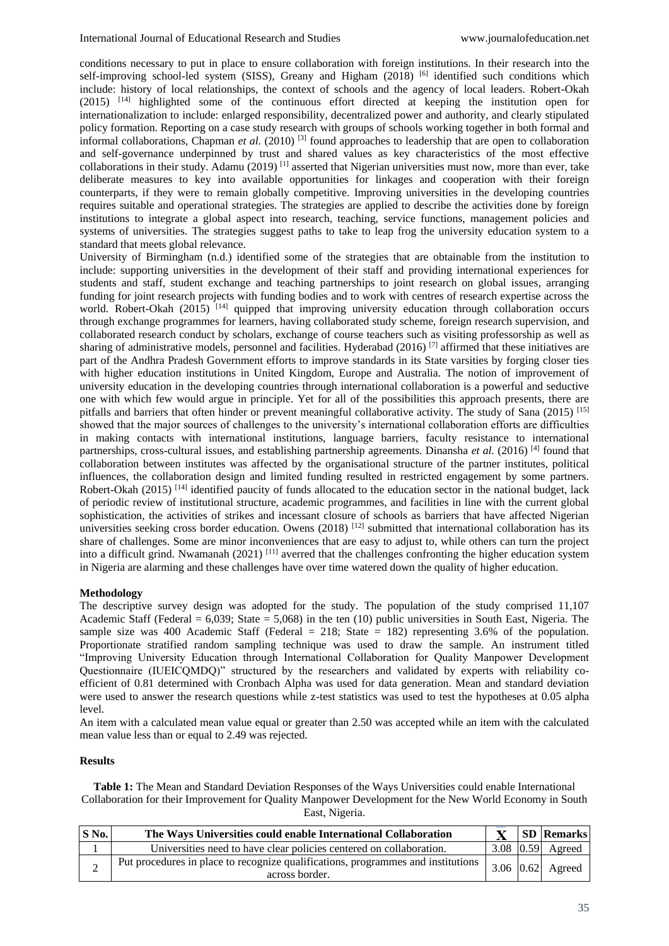conditions necessary to put in place to ensure collaboration with foreign institutions. In their research into the self-improving school-led system (SISS), Greany and Higham (2018)<sup>[6]</sup> identified such conditions which include: history of local relationships, the context of schools and the agency of local leaders. Robert-Okah (2015) [14] highlighted some of the continuous effort directed at keeping the institution open for internationalization to include: enlarged responsibility, decentralized power and authority, and clearly stipulated policy formation. Reporting on a case study research with groups of schools working together in both formal and informal collaborations, Chapman *et al*. (2010) [3] found approaches to leadership that are open to collaboration and self-governance underpinned by trust and shared values as key characteristics of the most effective collaborations in their study. Adamu (2019)  $^{[1]}$  asserted that Nigerian universities must now, more than ever, take deliberate measures to key into available opportunities for linkages and cooperation with their foreign counterparts, if they were to remain globally competitive. Improving universities in the developing countries requires suitable and operational strategies. The strategies are applied to describe the activities done by foreign institutions to integrate a global aspect into research, teaching, service functions, management policies and systems of universities. The strategies suggest paths to take to leap frog the university education system to a standard that meets global relevance.

University of Birmingham (n.d.) identified some of the strategies that are obtainable from the institution to include: supporting universities in the development of their staff and providing international experiences for students and staff, student exchange and teaching partnerships to joint research on global issues, arranging funding for joint research projects with funding bodies and to work with centres of research expertise across the world. Robert-Okah (2015)<sup>[14]</sup> quipped that improving university education through collaboration occurs through exchange programmes for learners, having collaborated study scheme, foreign research supervision, and collaborated research conduct by scholars, exchange of course teachers such as visiting professorship as well as sharing of administrative models, personnel and facilities. Hyderabad  $(2016)$ <sup>[7]</sup> affirmed that these initiatives are part of the Andhra Pradesh Government efforts to improve standards in its State varsities by forging closer ties with higher education institutions in United Kingdom, Europe and Australia. The notion of improvement of university education in the developing countries through international collaboration is a powerful and seductive one with which few would argue in principle. Yet for all of the possibilities this approach presents, there are pitfalls and barriers that often hinder or prevent meaningful collaborative activity. The study of Sana (2015) [15] showed that the major sources of challenges to the university's international collaboration efforts are difficulties in making contacts with international institutions, language barriers, faculty resistance to international partnerships, cross-cultural issues, and establishing partnership agreements. Dinansha *et al.* (2016) [4] found that collaboration between institutes was affected by the organisational structure of the partner institutes, political influences, the collaboration design and limited funding resulted in restricted engagement by some partners. Robert-Okah (2015)<sup>[14]</sup> identified paucity of funds allocated to the education sector in the national budget, lack of periodic review of institutional structure, academic programmes, and facilities in line with the current global sophistication, the activities of strikes and incessant closure of schools as barriers that have affected Nigerian universities seeking cross border education. Owens (2018) <sup>[12]</sup> submitted that international collaboration has its share of challenges. Some are minor inconveniences that are easy to adjust to, while others can turn the project into a difficult grind. Nwamanah (2021)<sup>[11]</sup> averred that the challenges confronting the higher education system in Nigeria are alarming and these challenges have over time watered down the quality of higher education.

#### **Methodology**

The descriptive survey design was adopted for the study. The population of the study comprised 11,107 Academic Staff (Federal = 6,039; State = 5,068) in the ten (10) public universities in South East, Nigeria. The sample size was 400 Academic Staff (Federal = 218; State = 182) representing 3.6% of the population. Proportionate stratified random sampling technique was used to draw the sample. An instrument titled "Improving University Education through International Collaboration for Quality Manpower Development Questionnaire (IUEICQMDQ)" structured by the researchers and validated by experts with reliability coefficient of 0.81 determined with Cronbach Alpha was used for data generation. Mean and standard deviation were used to answer the research questions while z-test statistics was used to test the hypotheses at 0.05 alpha level.

An item with a calculated mean value equal or greater than 2.50 was accepted while an item with the calculated mean value less than or equal to 2.49 was rejected.

# **Results**

**Table 1:** The Mean and Standard Deviation Responses of the Ways Universities could enable International Collaboration for their Improvement for Quality Manpower Development for the New World Economy in South East, Nigeria.

| S No. | The Ways Universities could enable International Collaboration                                     |  | <b>SD</b> Remarks    |
|-------|----------------------------------------------------------------------------------------------------|--|----------------------|
|       | Universities need to have clear policies centered on collaboration.                                |  | 3.08 $ 0.59 $ Agreed |
|       | Put procedures in place to recognize qualifications, programmes and institutions<br>across border. |  | 3.06 $ 0.62 $ Agreed |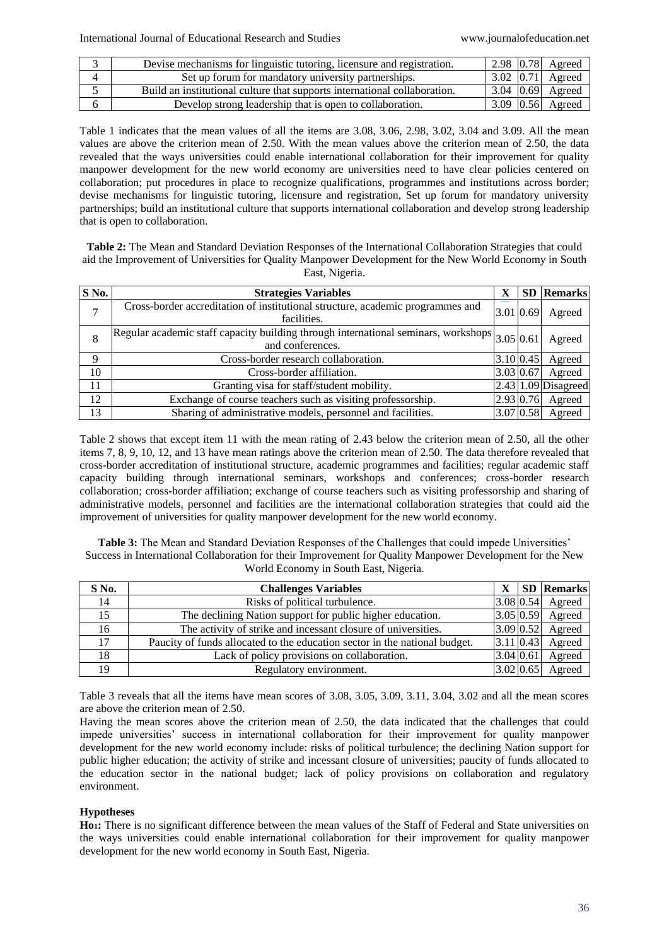|   | Devise mechanisms for linguistic tutoring, licensure and registration.    |  | 2.98 $ 0.78 $ Agreed                 |
|---|---------------------------------------------------------------------------|--|--------------------------------------|
| 4 | Set up forum for mandatory university partnerships.                       |  | $\mid 3.02 \mid 0.71 \mid$ Agreed    |
|   | Build an institutional culture that supports international collaboration. |  | $\vert 3.04 \vert 0.69 \vert$ Agreed |
|   | Develop strong leadership that is open to collaboration.                  |  | 3.09 $ 0.56 $ Agreed                 |

Table 1 indicates that the mean values of all the items are 3.08, 3.06, 2.98, 3.02, 3.04 and 3.09. All the mean values are above the criterion mean of 2.50. With the mean values above the criterion mean of 2.50, the data revealed that the ways universities could enable international collaboration for their improvement for quality manpower development for the new world economy are universities need to have clear policies centered on collaboration; put procedures in place to recognize qualifications, programmes and institutions across border; devise mechanisms for linguistic tutoring, licensure and registration, Set up forum for mandatory university partnerships; build an institutional culture that supports international collaboration and develop strong leadership that is open to collaboration.

**Table 2:** The Mean and Standard Deviation Responses of the International Collaboration Strategies that could aid the Improvement of Universities for Quality Manpower Development for the New World Economy in South East, Nigeria.

| S No. | <b>Strategies Variables</b>                                                                                          | X |                    | <b>SD</b> Remarks            |
|-------|----------------------------------------------------------------------------------------------------------------------|---|--------------------|------------------------------|
| 7     | Cross-border accreditation of institutional structure, academic programmes and<br>facilities.                        |   | 3.01 0.69          | Agreed                       |
| 8     | Regular academic staff capacity building through international seminars, workshops $ 3.05 0.61 $<br>and conferences. |   |                    | Agreed                       |
| 9     | Cross-border research collaboration.                                                                                 |   | 3.10 0.45          | Agreed                       |
| 10    | Cross-border affiliation.                                                                                            |   | $3.03 \,   0.67$   | Agreed                       |
| 11    | Granting visa for staff/student mobility.                                                                            |   |                    | $\sqrt{2.43}$ 1.09 Disagreed |
| 12    | Exchange of course teachers such as visiting professorship.                                                          |   | 2.93 0.76          | Agreed                       |
| 13    | Sharing of administrative models, personnel and facilities.                                                          |   | $3.07 \,   0.58  $ | Agreed                       |

Table 2 shows that except item 11 with the mean rating of 2.43 below the criterion mean of 2.50, all the other items 7, 8, 9, 10, 12, and 13 have mean ratings above the criterion mean of 2.50. The data therefore revealed that cross-border accreditation of institutional structure, academic programmes and facilities; regular academic staff capacity building through international seminars, workshops and conferences; cross-border research collaboration; cross-border affiliation; exchange of course teachers such as visiting professorship and sharing of administrative models, personnel and facilities are the international collaboration strategies that could aid the improvement of universities for quality manpower development for the new world economy.

**Table 3:** The Mean and Standard Deviation Responses of the Challenges that could impede Universities' Success in International Collaboration for their Improvement for Quality Manpower Development for the New World Economy in South East, Nigeria.

| S No. | <b>Challenges Variables</b>                                                |  | SD Remarks                   |
|-------|----------------------------------------------------------------------------|--|------------------------------|
| 14    | Risks of political turbulence.                                             |  | $3.08 \,   0.54$ Agreed      |
|       | The declining Nation support for public higher education.                  |  | $3.05 \,   0.59$ Agreed      |
| 16    | The activity of strike and incessant closure of universities.              |  | $3.09 \,   0.52  $ Agreed    |
| 17    | Paucity of funds allocated to the education sector in the national budget. |  | $ 3.11 0.43 $ Agreed         |
| 18    | Lack of policy provisions on collaboration.                                |  | $3.04 \mid 0.61$ Agreed      |
| 19    | Regulatory environment.                                                    |  | $3.02 \mid 0.65 \mid$ Agreed |

Table 3 reveals that all the items have mean scores of 3.08, 3.05, 3.09, 3.11, 3.04, 3.02 and all the mean scores are above the criterion mean of 2.50.

Having the mean scores above the criterion mean of 2.50, the data indicated that the challenges that could impede universities' success in international collaboration for their improvement for quality manpower development for the new world economy include: risks of political turbulence; the declining Nation support for public higher education; the activity of strike and incessant closure of universities; paucity of funds allocated to the education sector in the national budget; lack of policy provisions on collaboration and regulatory environment.

# **Hypotheses**

**Ho1:** There is no significant difference between the mean values of the Staff of Federal and State universities on the ways universities could enable international collaboration for their improvement for quality manpower development for the new world economy in South East, Nigeria.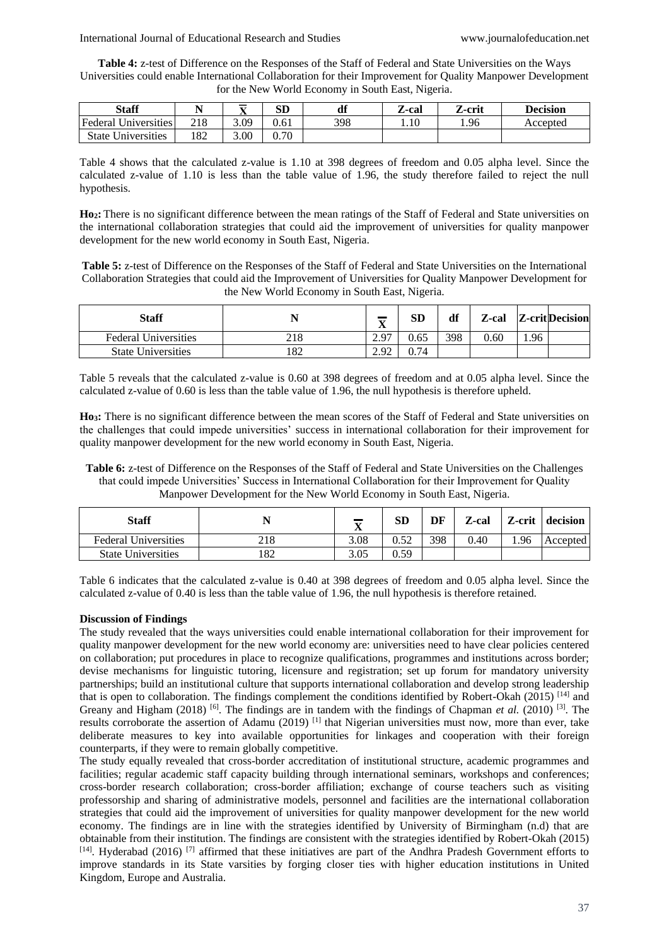**Table 4:** z-test of Difference on the Responses of the Staff of Federal and State Universities on the Ways Universities could enable International Collaboration for their Improvement for Quality Manpower Development for the New World Economy in South East, Nigeria.

| <b>Staff</b>                |     | $=$<br>$\overline{A}$ | SD                | df  | Z-cal | Z-crit | <b>Decision</b> |
|-----------------------------|-----|-----------------------|-------------------|-----|-------|--------|-----------------|
| <b>Federal Universities</b> | 218 | 3.09                  | 0.61              | 398 | 1.IV  | 1.96   | Accepted        |
| <b>State Universities</b>   | 182 | 3.00                  | 0.70 <sub>1</sub> |     |       |        |                 |

Table 4 shows that the calculated z-value is 1.10 at 398 degrees of freedom and 0.05 alpha level. Since the calculated z-value of 1.10 is less than the table value of 1.96, the study therefore failed to reject the null hypothesis.

**Ho2:** There is no significant difference between the mean ratings of the Staff of Federal and State universities on the international collaboration strategies that could aid the improvement of universities for quality manpower development for the new world economy in South East, Nigeria.

**Table 5:** z-test of Difference on the Responses of the Staff of Federal and State Universities on the International Collaboration Strategies that could aid the Improvement of Universities for Quality Manpower Development for the New World Economy in South East, Nigeria.

| Staff                       |     | $\overline{P}$<br>△ | SD   | df  | Z-cal |      | <b>Z-critDecision</b> |
|-----------------------------|-----|---------------------|------|-----|-------|------|-----------------------|
| <b>Federal Universities</b> | 218 | 2.97                | 0.65 | 398 | 0.60  | 1.96 |                       |
| <b>State Universities</b>   | 182 | റ ററ                | 0.74 |     |       |      |                       |

Table 5 reveals that the calculated z-value is 0.60 at 398 degrees of freedom and at 0.05 alpha level. Since the calculated z-value of 0.60 is less than the table value of 1.96, the null hypothesis is therefore upheld.

**Ho3:** There is no significant difference between the mean scores of the Staff of Federal and State universities on the challenges that could impede universities' success in international collaboration for their improvement for quality manpower development for the new world economy in South East, Nigeria.

**Table 6:** z-test of Difference on the Responses of the Staff of Federal and State Universities on the Challenges that could impede Universities' Success in International Collaboration for their Improvement for Quality Manpower Development for the New World Economy in South East, Nigeria.

| Staff                       |             | $\equiv$<br>$\Lambda$ | SD   | DF  | Z-cal |      | Z-crit decision |
|-----------------------------|-------------|-----------------------|------|-----|-------|------|-----------------|
| <b>Federal Universities</b> | 218         | 3.08                  | 0.52 | 398 | 0.40  | . 96 | Accepted        |
| <b>State Universities</b>   | ാറ<br>. O 4 | 3.05                  | 0.59 |     |       |      |                 |

Table 6 indicates that the calculated z-value is 0.40 at 398 degrees of freedom and 0.05 alpha level. Since the calculated z-value of 0.40 is less than the table value of 1.96, the null hypothesis is therefore retained.

# **Discussion of Findings**

The study revealed that the ways universities could enable international collaboration for their improvement for quality manpower development for the new world economy are: universities need to have clear policies centered on collaboration; put procedures in place to recognize qualifications, programmes and institutions across border; devise mechanisms for linguistic tutoring, licensure and registration; set up forum for mandatory university partnerships; build an institutional culture that supports international collaboration and develop strong leadership that is open to collaboration. The findings complement the conditions identified by Robert-Okah (2015) [14] and Greany and Higham (2018) <sup>[6]</sup>. The findings are in tandem with the findings of Chapman *et al.* (2010) <sup>[3]</sup>. The results corroborate the assertion of Adamu (2019) [1] that Nigerian universities must now, more than ever, take deliberate measures to key into available opportunities for linkages and cooperation with their foreign counterparts, if they were to remain globally competitive.

The study equally revealed that cross-border accreditation of institutional structure, academic programmes and facilities; regular academic staff capacity building through international seminars, workshops and conferences; cross-border research collaboration; cross-border affiliation; exchange of course teachers such as visiting professorship and sharing of administrative models, personnel and facilities are the international collaboration strategies that could aid the improvement of universities for quality manpower development for the new world economy. The findings are in line with the strategies identified by University of Birmingham (n.d) that are obtainable from their institution. The findings are consistent with the strategies identified by Robert-Okah (2015) [14]. Hyderabad (2016) [7] affirmed that these initiatives are part of the Andhra Pradesh Government efforts to improve standards in its State varsities by forging closer ties with higher education institutions in United Kingdom, Europe and Australia.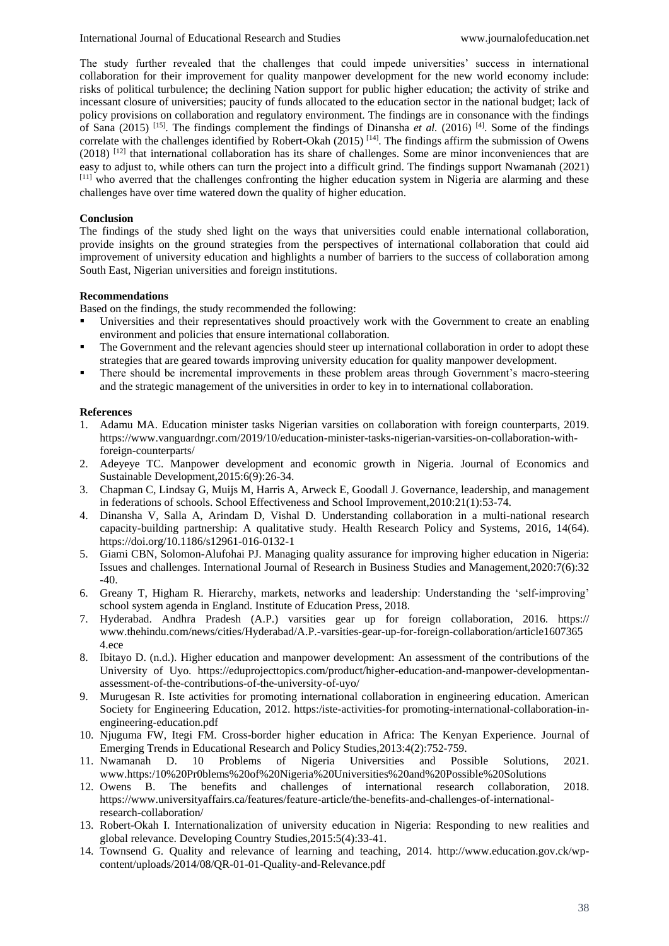The study further revealed that the challenges that could impede universities' success in international collaboration for their improvement for quality manpower development for the new world economy include: risks of political turbulence; the declining Nation support for public higher education; the activity of strike and incessant closure of universities; paucity of funds allocated to the education sector in the national budget; lack of policy provisions on collaboration and regulatory environment. The findings are in consonance with the findings of Sana (2015) [15]. The findings complement the findings of Dinansha *et al.* (2016) [4]. Some of the findings correlate with the challenges identified by Robert-Okah (2015)<sup>[14]</sup>. The findings affirm the submission of Owens (2018) [12] that international collaboration has its share of challenges. Some are minor inconveniences that are easy to adjust to, while others can turn the project into a difficult grind. The findings support Nwamanah (2021) [11] who averred that the challenges confronting the higher education system in Nigeria are alarming and these challenges have over time watered down the quality of higher education.

## **Conclusion**

The findings of the study shed light on the ways that universities could enable international collaboration, provide insights on the ground strategies from the perspectives of international collaboration that could aid improvement of university education and highlights a number of barriers to the success of collaboration among South East, Nigerian universities and foreign institutions.

## **Recommendations**

Based on the findings, the study recommended the following:

- Universities and their representatives should proactively work with the Government to create an enabling environment and policies that ensure international collaboration.
- The Government and the relevant agencies should steer up international collaboration in order to adopt these strategies that are geared towards improving university education for quality manpower development.
- There should be incremental improvements in these problem areas through Government's macro-steering and the strategic management of the universities in order to key in to international collaboration.

#### **References**

- 1. Adamu MA. Education minister tasks Nigerian varsities on collaboration with foreign counterparts, 2019. https://www.vanguardngr.com/2019/10/education-minister-tasks-nigerian-varsities-on-collaboration-withforeign-counterparts/
- 2. Adeyeye TC. Manpower development and economic growth in Nigeria. Journal of Economics and Sustainable Development,2015:6(9):26-34.
- 3. Chapman C, Lindsay G, Muijs M, Harris A, Arweck E, Goodall J. Governance, leadership, and management in federations of schools. School Effectiveness and School Improvement,2010:21(1):53-74.
- 4. Dinansha V, Salla A, Arindam D, Vishal D. Understanding collaboration in a multi-national research capacity-building partnership: A qualitative study. Health Research Policy and Systems, 2016, 14(64). https://doi.org/10.1186/s12961-016-0132-1
- 5. Giami CBN, Solomon-Alufohai PJ. Managing quality assurance for improving higher education in Nigeria: Issues and challenges. International Journal of Research in Business Studies and Management,2020:7(6):32  $-40.$
- 6. Greany T, Higham R. Hierarchy, markets, networks and leadership: Understanding the 'self-improving' school system agenda in England. Institute of Education Press, 2018.
- 7. Hyderabad. Andhra Pradesh (A.P.) varsities gear up for foreign collaboration, 2016. https:// www.thehindu.com/news/cities/Hyderabad/A.P.-varsities-gear-up-for-foreign-collaboration/article1607365 4.ece
- 8. Ibitayo D. (n.d.). Higher education and manpower development: An assessment of the contributions of the University of Uyo. https://eduprojecttopics.com/product/higher-education-and-manpower-developmentanassessment-of-the-contributions-of-the-university-of-uyo/
- 9. Murugesan R. Iste activities for promoting international collaboration in engineering education. American Society for Engineering Education, 2012. https:/iste-activities-for promoting-international-collaboration-inengineering-education.pdf
- 10. Njuguma FW, Itegi FM. Cross-border higher education in Africa: The Kenyan Experience. Journal of Emerging Trends in Educational Research and Policy Studies,2013:4(2):752-759.
- 11. Nwamanah D. 10 Problems of Nigeria Universities and Possible Solutions, 2021. www.https:/10%20Pr0blems%20of%20Nigeria%20Universities%20and%20Possible%20Solutions
- 12. Owens B. The benefits and challenges of international research collaboration, 2018. https://www.universityaffairs.ca/features/feature-article/the-benefits-and-challenges-of-internationalresearch-collaboration/
- 13. Robert-Okah I. Internationalization of university education in Nigeria: Responding to new realities and global relevance. Developing Country Studies,2015:5(4):33-41.
- 14. Townsend G. Quality and relevance of learning and teaching, 2014. http://www.education.gov.ck/wpcontent/uploads/2014/08/QR-01-01-Quality-and-Relevance.pdf